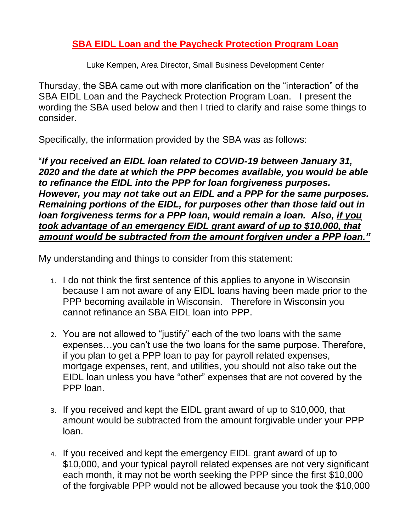## **SBA EIDL Loan and the Paycheck Protection Program Loan**

Luke Kempen, Area Director, Small Business Development Center

Thursday, the SBA came out with more clarification on the "interaction" of the SBA EIDL Loan and the Paycheck Protection Program Loan. I present the wording the SBA used below and then I tried to clarify and raise some things to consider.

Specifically, the information provided by the SBA was as follows:

"*If you received an EIDL loan related to COVID-19 between January 31, 2020 and the date at which the PPP becomes available, you would be able to refinance the EIDL into the PPP for loan forgiveness purposes. However, you may not take out an EIDL and a PPP for the same purposes. Remaining portions of the EIDL, for purposes other than those laid out in loan forgiveness terms for a PPP loan, would remain a loan. Also, if you took advantage of an emergency EIDL grant award of up to \$10,000, that amount would be subtracted from the amount forgiven under a PPP loan."*

My understanding and things to consider from this statement:

- 1. I do not think the first sentence of this applies to anyone in Wisconsin because I am not aware of any EIDL loans having been made prior to the PPP becoming available in Wisconsin. Therefore in Wisconsin you cannot refinance an SBA EIDL loan into PPP.
- 2. You are not allowed to "justify" each of the two loans with the same expenses…you can't use the two loans for the same purpose. Therefore, if you plan to get a PPP loan to pay for payroll related expenses, mortgage expenses, rent, and utilities, you should not also take out the EIDL loan unless you have "other" expenses that are not covered by the PPP loan.
- 3. If you received and kept the EIDL grant award of up to \$10,000, that amount would be subtracted from the amount forgivable under your PPP loan.
- 4. If you received and kept the emergency EIDL grant award of up to \$10,000, and your typical payroll related expenses are not very significant each month, it may not be worth seeking the PPP since the first \$10,000 of the forgivable PPP would not be allowed because you took the \$10,000